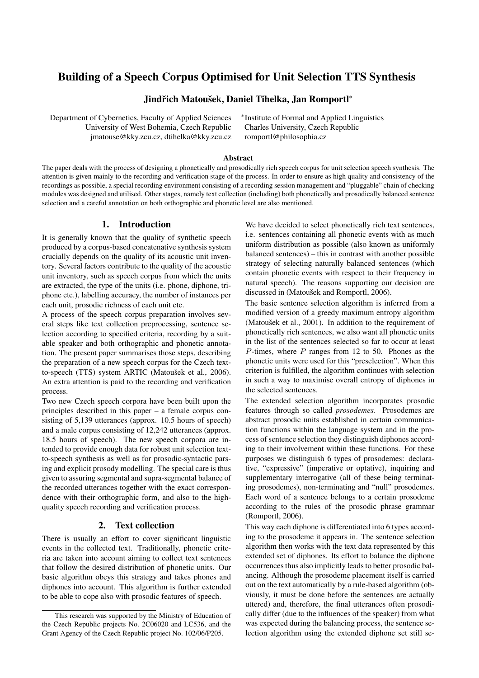# Building of a Speech Corpus Optimised for Unit Selection TTS Synthesis

## Jindřich Matoušek, Daniel Tihelka, Jan Romportl\*

Department of Cybernetics, Faculty of Applied Sciences University of West Bohemia, Czech Republic jmatouse@kky.zcu.cz, dtihelka@kky.zcu.cz ∗ Institute of Formal and Applied Linguistics Charles University, Czech Republic romportl@philosophia.cz

#### Abstract

The paper deals with the process of designing a phonetically and prosodically rich speech corpus for unit selection speech synthesis. The attention is given mainly to the recording and verification stage of the process. In order to ensure as high quality and consistency of the recordings as possible, a special recording environment consisting of a recording session management and "pluggable" chain of checking modules was designed and utilised. Other stages, namely text collection (including) both phonetically and prosodically balanced sentence selection and a careful annotation on both orthographic and phonetic level are also mentioned.

## 1. Introduction

It is generally known that the quality of synthetic speech produced by a corpus-based concatenative synthesis system crucially depends on the quality of its acoustic unit inventory. Several factors contribute to the quality of the acoustic unit inventory, such as speech corpus from which the units are extracted, the type of the units (i.e. phone, diphone, triphone etc.), labelling accuracy, the number of instances per each unit, prosodic richness of each unit etc.

A process of the speech corpus preparation involves several steps like text collection preprocessing, sentence selection according to specified criteria, recording by a suitable speaker and both orthographic and phonetic annotation. The present paper summarises those steps, describing the preparation of a new speech corpus for the Czech textto-speech (TTS) system ARTIC (Matoušek et al., 2006). An extra attention is paid to the recording and verification process.

Two new Czech speech corpora have been built upon the principles described in this paper – a female corpus consisting of 5,139 utterances (approx. 10.5 hours of speech) and a male corpus consisting of 12,242 utterances (approx. 18.5 hours of speech). The new speech corpora are intended to provide enough data for robust unit selection textto-speech synthesis as well as for prosodic-syntactic parsing and explicit prosody modelling. The special care is thus given to assuring segmental and supra-segmental balance of the recorded utterances together with the exact correspondence with their orthographic form, and also to the highquality speech recording and verification process.

#### 2. Text collection

There is usually an effort to cover significant linguistic events in the collected text. Traditionally, phonetic criteria are taken into account aiming to collect text sentences that follow the desired distribution of phonetic units. Our basic algorithm obeys this strategy and takes phones and diphones into account. This algorithm is further extended to be able to cope also with prosodic features of speech.

We have decided to select phonetically rich text sentences, i.e. sentences containing all phonetic events with as much uniform distribution as possible (also known as uniformly balanced sentences) – this in contrast with another possible strategy of selecting naturally balanced sentences (which contain phonetic events with respect to their frequency in natural speech). The reasons supporting our decision are discussed in (Matoušek and Romportl, 2006).

The basic sentence selection algorithm is inferred from a modified version of a greedy maximum entropy algorithm (Matoušek et al.,  $2001$ ). In addition to the requirement of phonetically rich sentences, we also want all phonetic units in the list of the sentences selected so far to occur at least  $P$ -times, where  $P$  ranges from 12 to 50. Phones as the phonetic units were used for this "preselection". When this criterion is fulfilled, the algorithm continues with selection in such a way to maximise overall entropy of diphones in the selected sentences.

The extended selection algorithm incorporates prosodic features through so called *prosodemes*. Prosodemes are abstract prosodic units established in certain communication functions within the language system and in the process of sentence selection they distinguish diphones according to their involvement within these functions. For these purposes we distinguish 6 types of prosodemes: declarative, "expressive" (imperative or optative), inquiring and supplementary interrogative (all of these being terminating prosodemes), non-terminating and "null" prosodemes. Each word of a sentence belongs to a certain prosodeme according to the rules of the prosodic phrase grammar (Romportl, 2006).

This way each diphone is differentiated into 6 types according to the prosodeme it appears in. The sentence selection algorithm then works with the text data represented by this extended set of diphones. Its effort to balance the diphone occurrences thus also implicitly leads to better prosodic balancing. Although the prosodeme placement itself is carried out on the text automatically by a rule-based algorithm (obviously, it must be done before the sentences are actually uttered) and, therefore, the final utterances often prosodically differ (due to the influences of the speaker) from what was expected during the balancing process, the sentence selection algorithm using the extended diphone set still se-

This research was supported by the Ministry of Education of the Czech Republic projects No. 2C06020 and LC536, and the Grant Agency of the Czech Republic project No. 102/06/P205.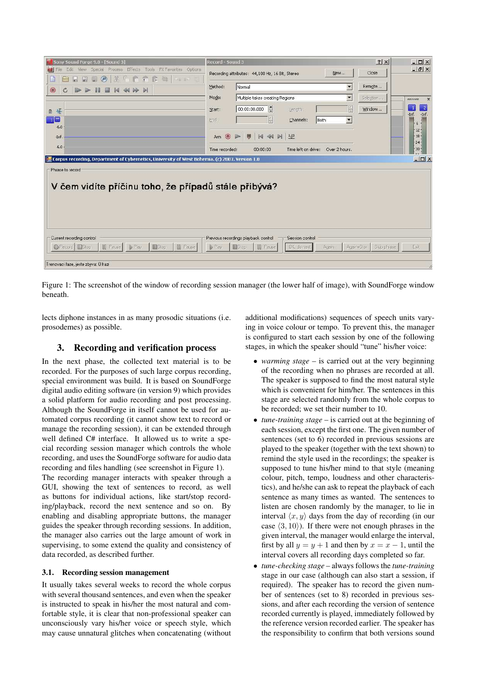| Sony Sound Forge 9.0 - [Sound 3]                                                                | Record - Sound 3                                                                        | ? X <br>$ \Box$ $\times$                     |
|-------------------------------------------------------------------------------------------------|-----------------------------------------------------------------------------------------|----------------------------------------------|
| Edit View Special Process Effects Tools EX-Favorites Options<br>File:                           | New<br>Recording attributes: 44,100 Hz, 16 Bit, Stereo                                  | $-17 \times$<br>Close                        |
| $\frac{N}{20}$<br>日 合管修 每 1000<br>$\frac{1}{2}$<br>$\circ$<br>网<br>Ьd                           |                                                                                         |                                              |
| <b>III</b><br>$M \triangleleft A \triangleright M$<br>$\odot$<br>$\mathcal{C}$<br>$\Rightarrow$ | $\blacksquare$<br>Method:<br>Normal                                                     | Remote                                       |
|                                                                                                 | $\overline{\phantom{a}}$<br>Mode:<br>Multiple takes creating Regions                    | Selection<br>1111111<br>$\mathbf x$          |
|                                                                                                 |                                                                                         |                                              |
| 开<br>$\mathbf{a}$                                                                               | E<br>÷<br>00:00:00.000<br>Length:<br>Start:                                             | $\overline{c}$<br>Window<br>$-Inf.$<br>-Inf. |
| $\frac{1}{1}$                                                                                   | ÷<br>$\overline{\phantom{a}}$<br>Both<br>End:<br>Channels:                              | 6                                            |
| $-6.0$                                                                                          |                                                                                         | $-12 -$                                      |
| $-Inf.$                                                                                         | N << N N 1.23<br>$\odot$<br>园<br>$\triangleright$<br>Arm                                | $-18 -$                                      |
| $-6.0$                                                                                          | Time left on drive: Over 2 hours.<br>00:00:00<br>Time recorded:                         | $-24 -$<br>$-30 -$                           |
|                                                                                                 |                                                                                         |                                              |
| Corpus recording, Department of Cybernetics, University of West Bohemia. (c) 2007. Version 1.0  |                                                                                         | $ \Box$ $\times$                             |
| Phrase to record                                                                                |                                                                                         |                                              |
|                                                                                                 |                                                                                         |                                              |
| V čem vidíte příčinu toho, že případů stále přibývá?                                            |                                                                                         |                                              |
|                                                                                                 |                                                                                         |                                              |
|                                                                                                 |                                                                                         |                                              |
|                                                                                                 |                                                                                         |                                              |
|                                                                                                 |                                                                                         |                                              |
|                                                                                                 |                                                                                         |                                              |
|                                                                                                 |                                                                                         |                                              |
| Current recording control                                                                       | Previous recordings playback control<br>Session control                                 |                                              |
| <b>III</b> Pause<br>● Record Stop<br><b>III</b> Pause<br>$\blacktriangleright$ Play<br>Stop     | <b>III</b> Pause<br>DK, do next<br>$\triangleright$ Play<br>Again+Stor<br>Stop<br>Again | Skip phrase<br>Egit                          |
|                                                                                                 |                                                                                         |                                              |
| Trenovaci faze, jeste zbyva: 0 frazi                                                            |                                                                                         | 4                                            |

Figure 1: The screenshot of the window of recording session manager (the lower half of image), with SoundForge window beneath.

lects diphone instances in as many prosodic situations (i.e. prosodemes) as possible.

## 3. Recording and verification process

In the next phase, the collected text material is to be recorded. For the purposes of such large corpus recording, special environment was build. It is based on SoundForge digital audio editing software (in version 9) which provides a solid platform for audio recording and post processing. Although the SoundForge in itself cannot be used for automated corpus recording (it cannot show text to record or manage the recording session), it can be extended through well defined C# interface. It allowed us to write a special recording session manager which controls the whole recording, and uses the SoundForge software for audio data recording and files handling (see screenshot in Figure 1).

The recording manager interacts with speaker through a GUI, showing the text of sentences to record, as well as buttons for individual actions, like start/stop recording/playback, record the next sentence and so on. By enabling and disabling appropriate buttons, the manager guides the speaker through recording sessions. In addition, the manager also carries out the large amount of work in supervising, to some extend the quality and consistency of data recorded, as described further.

## 3.1. Recording session management

It usually takes several weeks to record the whole corpus with several thousand sentences, and even when the speaker is instructed to speak in his/her the most natural and comfortable style, it is clear that non-professional speaker can unconsciously vary his/her voice or speech style, which may cause unnatural glitches when concatenating (without

additional modifications) sequences of speech units varying in voice colour or tempo. To prevent this, the manager is configured to start each session by one of the following stages, in which the speaker should "tune" his/her voice:

- *warming stage* is carried out at the very beginning of the recording when no phrases are recorded at all. The speaker is supposed to find the most natural style which is convenient for him/her. The sentences in this stage are selected randomly from the whole corpus to be recorded; we set their number to 10.
- *tune-training stage* is carried out at the beginning of each session, except the first one. The given number of sentences (set to 6) recorded in previous sessions are played to the speaker (together with the text shown) to remind the style used in the recordings; the speaker is supposed to tune his/her mind to that style (meaning colour, pitch, tempo, loudness and other characteristics), and he/she can ask to repeat the playback of each sentence as many times as wanted. The sentences to listen are chosen randomly by the manager, to lie in interval  $\langle x, y \rangle$  days from the day of recording (in our case  $\langle 3, 10 \rangle$ ). If there were not enough phrases in the given interval, the manager would enlarge the interval, first by all  $y = y + 1$  and then by  $x = x - 1$ , until the interval covers all recording days completed so far.
- *tune-checking stage* always follows the *tune-training* stage in our case (although can also start a session, if required). The speaker has to record the given number of sentences (set to 8) recorded in previous sessions, and after each recording the version of sentence recorded currently is played, immediately followed by the reference version recorded earlier. The speaker has the responsibility to confirm that both versions sound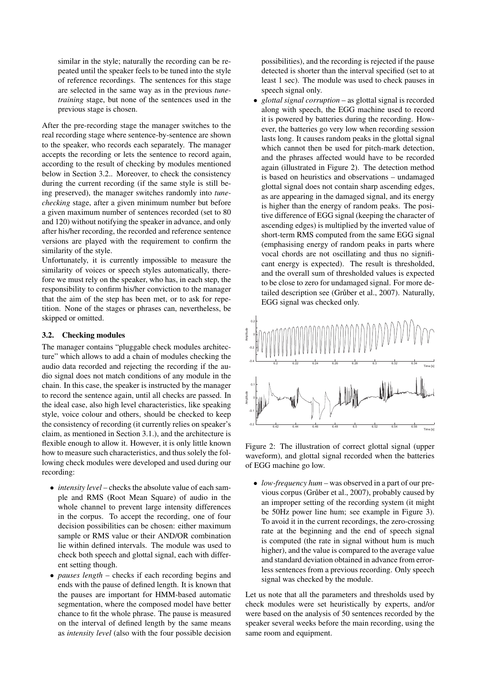similar in the style; naturally the recording can be repeated until the speaker feels to be tuned into the style of reference recordings. The sentences for this stage are selected in the same way as in the previous *tunetraining* stage, but none of the sentences used in the previous stage is chosen.

After the pre-recording stage the manager switches to the real recording stage where sentence-by-sentence are shown to the speaker, who records each separately. The manager accepts the recording or lets the sentence to record again, according to the result of checking by modules mentioned below in Section 3.2.. Moreover, to check the consistency during the current recording (if the same style is still being preserved), the manager switches randomly into *tunechecking* stage, after a given minimum number but before a given maximum number of sentences recorded (set to 80 and 120) without notifying the speaker in advance, and only after his/her recording, the recorded and reference sentence versions are played with the requirement to confirm the similarity of the style.

Unfortunately, it is currently impossible to measure the similarity of voices or speech styles automatically, therefore we must rely on the speaker, who has, in each step, the responsibility to confirm his/her conviction to the manager that the aim of the step has been met, or to ask for repetition. None of the stages or phrases can, nevertheless, be skipped or omitted.

#### 3.2. Checking modules

The manager contains "pluggable check modules architecture" which allows to add a chain of modules checking the audio data recorded and rejecting the recording if the audio signal does not match conditions of any module in the chain. In this case, the speaker is instructed by the manager to record the sentence again, until all checks are passed. In the ideal case, also high level characteristics, like speaking style, voice colour and others, should be checked to keep the consistency of recording (it currently relies on speaker's claim, as mentioned in Section 3.1.), and the architecture is flexible enough to allow it. However, it is only little known how to measure such characteristics, and thus solely the following check modules were developed and used during our recording:

- *intensity level* checks the absolute value of each sample and RMS (Root Mean Square) of audio in the whole channel to prevent large intensity differences in the corpus. To accept the recording, one of four decision possibilities can be chosen: either maximum sample or RMS value or their AND/OR combination lie within defined intervals. The module was used to check both speech and glottal signal, each with different setting though.
- *pauses length* checks if each recording begins and ends with the pause of defined length. It is known that the pauses are important for HMM-based automatic segmentation, where the composed model have better chance to fit the whole phrase. The pause is measured on the interval of defined length by the same means as *intensity level* (also with the four possible decision

possibilities), and the recording is rejected if the pause detected is shorter than the interval specified (set to at least 1 sec). The module was used to check pauses in speech signal only.

• *glottal signal corruption* – as glottal signal is recorded along with speech, the EGG machine used to record it is powered by batteries during the recording. However, the batteries go very low when recording session lasts long. It causes random peaks in the glottal signal which cannot then be used for pitch-mark detection, and the phrases affected would have to be recorded again (illustrated in Figure 2). The detection method is based on heuristics and observations – undamaged glottal signal does not contain sharp ascending edges, as are appearing in the damaged signal, and its energy is higher than the energy of random peaks. The positive difference of EGG signal (keeping the character of ascending edges) is multiplied by the inverted value of short-term RMS computed from the same EGG signal (emphasising energy of random peaks in parts where vocal chords are not oscillating and thus no significant energy is expected). The result is thresholded, and the overall sum of thresholded values is expected to be close to zero for undamaged signal. For more detailed description see (Grůber et al., 2007). Naturally, EGG signal was checked only.



Figure 2: The illustration of correct glottal signal (upper waveform), and glottal signal recorded when the batteries of EGG machine go low.

• *low-frequency hum* – was observed in a part of our previous corpus (Grůber et al., 2007), probably caused by an improper setting of the recording system (it might be 50Hz power line hum; see example in Figure 3). To avoid it in the current recordings, the zero-crossing rate at the beginning and the end of speech signal is computed (the rate in signal without hum is much higher), and the value is compared to the average value and standard deviation obtained in advance from errorless sentences from a previous recording. Only speech signal was checked by the module.

Let us note that all the parameters and thresholds used by check modules were set heuristically by experts, and/or were based on the analysis of 50 sentences recorded by the speaker several weeks before the main recording, using the same room and equipment.